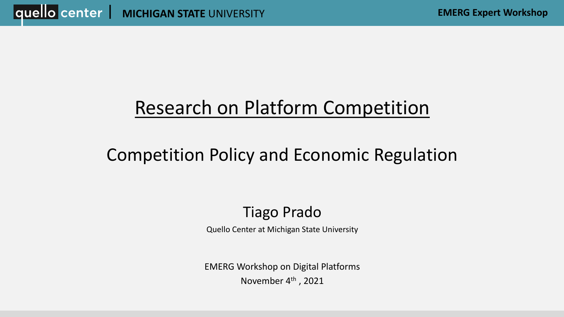## Research on Platform Competition

## Competition Policy and Economic Regulation

### Tiago Prado

Quello Center at Michigan State University

EMERG Workshop on Digital Platforms November 4<sup>th</sup>, 2021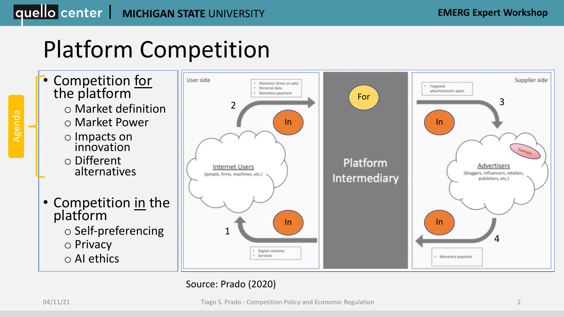## Platform Competition

- Competition for the platform
	- o Market definition
	- o Market Power
	- o Impacts on innovation
	- o Different alternatives
	- Competition in the platform o Self-preferencing o Privacy o AI ethics



### Source: Prado (2020)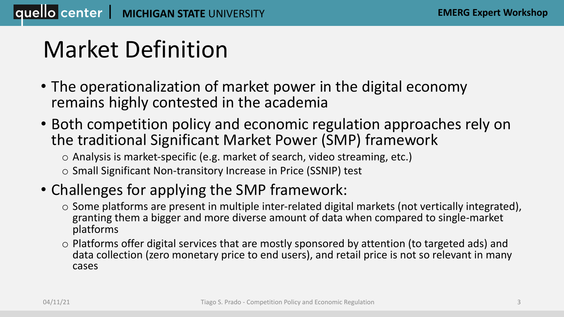## Market Definition

- The operationalization of market power in the digital economy remains highly contested in the academia
- Both competition policy and economic regulation approaches rely on the traditional Significant Market Power (SMP) framework

o Analysis is market-specific (e.g. market of search, video streaming, etc.)

o Small Significant Non-transitory Increase in Price (SSNIP) test

### • Challenges for applying the SMP framework:

- o Some platforms are present in multiple inter-related digital markets (not vertically integrated), granting them a bigger and more diverse amount of data when compared to single-market platforms
- o Platforms offer digital services that are mostly sponsored by attention (to targeted ads) and data collection (zero monetary price to end users), and retail price is not so relevant in many cases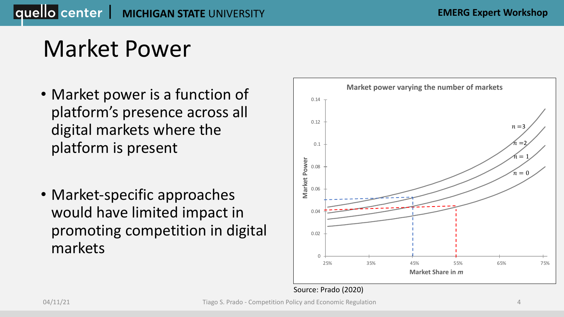## Market Power

- Market power is a function of platform's presence across all digital markets where the platform is present
- Market-specific approaches would have limited impact in promoting competition in digital markets



#### Source: Prado (2020)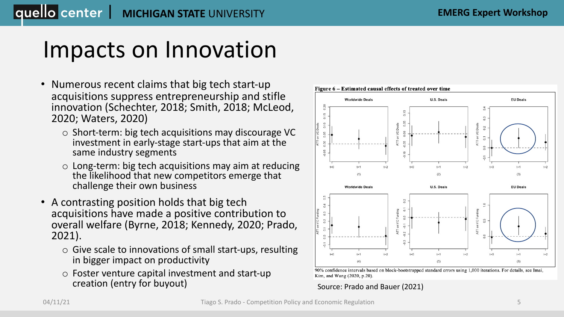## Impacts on Innovation

- Numerous recent claims that big tech start-up acquisitions suppress entrepreneurship and stifle innovation (Schechter, 2018; Smith, 2018; McLeod, 2020; Waters, 2020)
	- o Short-term: big tech acquisitions may discourage VC investment in early-stage start-ups that aim at the same industry segments
	- o Long-term: big tech acquisitions may aim at reducing the likelihood that new competitors emerge that challenge their own business
- A contrasting position holds that big tech acquisitions have made a positive contribution to overall welfare (Byrne, 2018; Kennedy, 2020; Prado, 2021).
	- o Give scale to innovations of small start-ups, resulting in bigger impact on productivity
	- o Foster venture capital investment and start-up creation (entry for buyout)





Source: Prado and Bauer (2021)

#### Figure 6 – Estimated causal effects of treated over time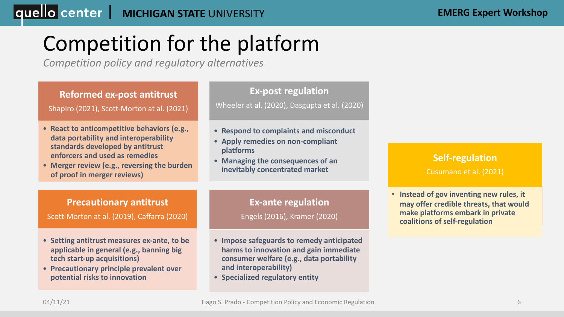### **MICHIGAN STATE UNIVERSITY EMERG Expert Workshop**

## Competition for the platform

*Competition policy and regulatory alternatives*



• **Specialized regulatory entity**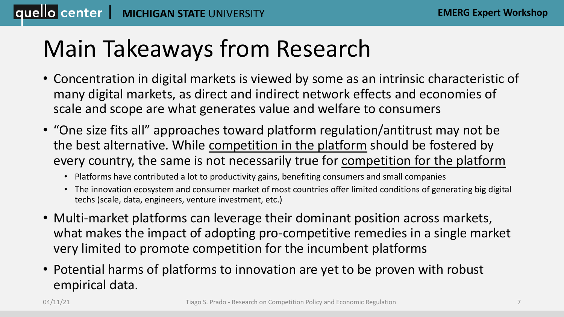## Main Takeaways from Research

- Concentration in digital markets is viewed by some as an intrinsic characteristic of many digital markets, as direct and indirect network effects and economies of scale and scope are what generates value and welfare to consumers
- "One size fits all" approaches toward platform regulation/antitrust may not be the best alternative. While competition in the platform should be fostered by every country, the same is not necessarily true for competition for the platform
	- Platforms have contributed a lot to productivity gains, benefiting consumers and small companies
	- The innovation ecosystem and consumer market of most countries offer limited conditions of generating big digital techs (scale, data, engineers, venture investment, etc.)
- Multi-market platforms can leverage their dominant position across markets, what makes the impact of adopting pro-competitive remedies in a single market very limited to promote competition for the incumbent platforms
- Potential harms of platforms to innovation are yet to be proven with robust empirical data.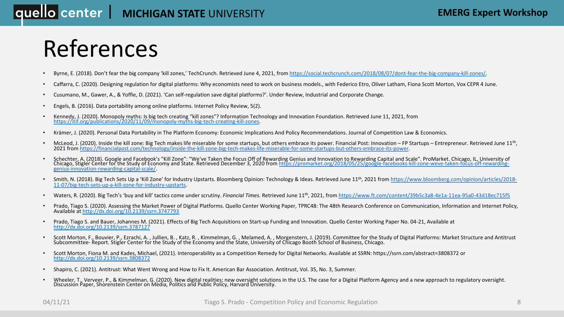### **|quello center | MICHIGAN STATE** UNIVERSITY

## [References](https://www.bloomberg.com/opinion/articles/2018-11-07/big-tech-sets-up-a-kill-zone-for-industry-upstarts)

- Byrne, E. (2018). Don't fear the big company 'kill zones,' TechCrunch. Retrieved June 4, 2021, from https://social.techcrunch.con
- [Caffarra, C. \(2020\). Designing regulation](http://dx.doi.org/10.2139/ssrn.3787127) for digital platforms: Why economists need to work on business models., with Federico
- Cusumano, M., Gawer, A., & Yoffie, D. (2021). 'Can self-regulation save digital platforms?'. Under Review, Industrial and Corporation
- [Engels, B. \(2016\). Data portability among](http://dx.doi.org/10.2139/ssrn.3808372) online platforms. Internet Policy Review, 5(2).
- Kennedy, J. (2020). Monopoly myths: Is big tech creating "kill zones"? Information Technology and Innovation Foundation. Retriction 3. Petric<br>https://itif.org/publications/2020/11/09/monopoly-myths-big-tech-creating-kill-z
- Krämer, J. (2020). Personal Data Portability in The Platform Economy: Economic Implications And Policy Recommendations. Jour
- McLeod, J. (2020). Inside the kill zone: Big Tech makes life miserable for some startups, but others embrace its power. Financial F 2021 from https://financialpost.com/technology/inside-the-kill-zone-big-tech-makes-life-mi
- Schechter, A. (2018). Google and Facebook's "Kill Zone": "We've Taken the Focus Off of Rewarding Genius and Innovation to Rev<br>Chicago, Stigler Center for the Study of Economy and State. Retrieved December 3, 2020 from http
- Smith, N. (2018). Big Tech Sets Up a 'Kill Zone' for Industry Upstarts. Bloomberg Opinion: Technology & Ideas. Retrieved June 11<sup>t</sup> 11-07/big-tech-sets-up-a-kill-zone-for-industry-upstarts.
- Waters, R. (2020). Big Tech's 'buy and kill' tactics come under scrutiny. *Financial Times*. Retrieved June 11<sup>th</sup>, 2021, from https://v
- Prado, Tiago S. (2020). Assessing the Market Power of Digital Platforms. Quello Center Working Paper, TPRC48: The 48th Researc Available at http://dx.doi.org/10.2139/ssrn.3747793
- Prado, Tiago S. and Bauer, Johannes M. (2021). Effects of Big Tech Acquisitions on Start-up Funding and Innovation. Quello Cente http://dx.doi.org/10.2139/ssrn.3787127
- Scott Morton, F., Bouvier, P., Ezrachi, A., Jullien, B., Katz, R., Kimmelman, G., Melamed, A., Morgenstern, J. (2019). Committee Report. Stigler Center for the Study of the Economy and the State, University of Chicago Boot
- Scott Morton, Fiona M. and Kades, Michael, (2021). Interoperability as a Competition Remedy for Digital Networks. Available at Strattp://dx.doi.org/10.2139/ssrn.3808372
- Shapiro, C. (2021). Antitrust: What Went Wrong and How to Fix It. American Bar Association. Antitrust, Vol. 35, No. 3, Summer.
- Wheeler, T., Verveer, P., & Kimmelman, G. (2020). New digital realities; new oversight solutions in the U.S. The case for a Digital Discussion Paper, Shorenstein Center on Media, Politics and Public Policy, Harvard Univers